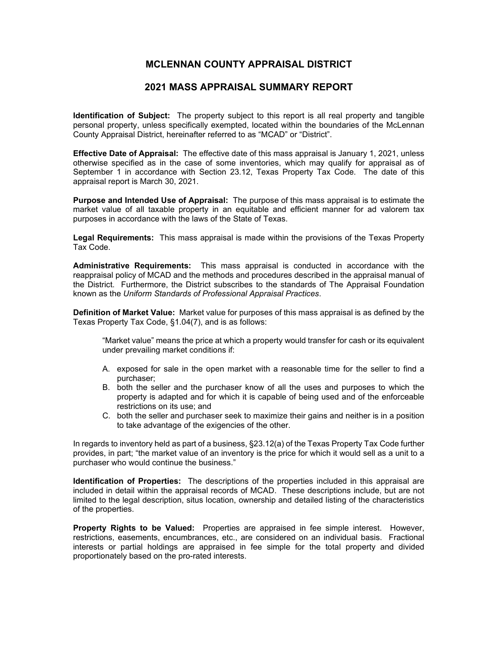## **MCLENNAN COUNTY APPRAISAL DISTRICT**

## **2021 MASS APPRAISAL SUMMARY REPORT**

**Identification of Subject:** The property subject to this report is all real property and tangible personal property, unless specifically exempted, located within the boundaries of the McLennan County Appraisal District, hereinafter referred to as "MCAD" or "District".

**Effective Date of Appraisal:** The effective date of this mass appraisal is January 1, 2021, unless otherwise specified as in the case of some inventories, which may qualify for appraisal as of September 1 in accordance with Section 23.12, Texas Property Tax Code. The date of this appraisal report is March 30, 2021.

**Purpose and Intended Use of Appraisal:** The purpose of this mass appraisal is to estimate the market value of all taxable property in an equitable and efficient manner for ad valorem tax purposes in accordance with the laws of the State of Texas.

**Legal Requirements:** This mass appraisal is made within the provisions of the Texas Property Tax Code.

**Administrative Requirements:** This mass appraisal is conducted in accordance with the reappraisal policy of MCAD and the methods and procedures described in the appraisal manual of the District. Furthermore, the District subscribes to the standards of The Appraisal Foundation known as the *Uniform Standards of Professional Appraisal Practices*.

**Definition of Market Value:** Market value for purposes of this mass appraisal is as defined by the Texas Property Tax Code, §1.04(7), and is as follows:

"Market value" means the price at which a property would transfer for cash or its equivalent under prevailing market conditions if:

- A. exposed for sale in the open market with a reasonable time for the seller to find a purchaser;
- B. both the seller and the purchaser know of all the uses and purposes to which the property is adapted and for which it is capable of being used and of the enforceable restrictions on its use; and
- C. both the seller and purchaser seek to maximize their gains and neither is in a position to take advantage of the exigencies of the other.

In regards to inventory held as part of a business, §23.12(a) of the Texas Property Tax Code further provides, in part; "the market value of an inventory is the price for which it would sell as a unit to a purchaser who would continue the business."

**Identification of Properties:** The descriptions of the properties included in this appraisal are included in detail within the appraisal records of MCAD. These descriptions include, but are not limited to the legal description, situs location, ownership and detailed listing of the characteristics of the properties.

**Property Rights to be Valued:** Properties are appraised in fee simple interest. However, restrictions, easements, encumbrances, etc., are considered on an individual basis. Fractional interests or partial holdings are appraised in fee simple for the total property and divided proportionately based on the pro-rated interests.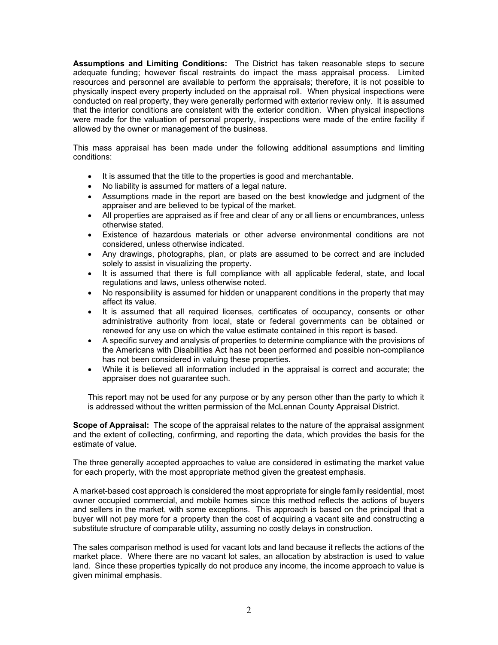**Assumptions and Limiting Conditions:** The District has taken reasonable steps to secure adequate funding; however fiscal restraints do impact the mass appraisal process. Limited resources and personnel are available to perform the appraisals; therefore, it is not possible to physically inspect every property included on the appraisal roll. When physical inspections were conducted on real property, they were generally performed with exterior review only. It is assumed that the interior conditions are consistent with the exterior condition. When physical inspections were made for the valuation of personal property, inspections were made of the entire facility if allowed by the owner or management of the business.

This mass appraisal has been made under the following additional assumptions and limiting conditions:

- It is assumed that the title to the properties is good and merchantable.
- No liability is assumed for matters of a legal nature.
- Assumptions made in the report are based on the best knowledge and judgment of the appraiser and are believed to be typical of the market.
- All properties are appraised as if free and clear of any or all liens or encumbrances, unless otherwise stated.
- Existence of hazardous materials or other adverse environmental conditions are not considered, unless otherwise indicated.
- Any drawings, photographs, plan, or plats are assumed to be correct and are included solely to assist in visualizing the property.
- It is assumed that there is full compliance with all applicable federal, state, and local regulations and laws, unless otherwise noted.
- No responsibility is assumed for hidden or unapparent conditions in the property that may affect its value.
- It is assumed that all required licenses, certificates of occupancy, consents or other administrative authority from local, state or federal governments can be obtained or renewed for any use on which the value estimate contained in this report is based.
- A specific survey and analysis of properties to determine compliance with the provisions of the Americans with Disabilities Act has not been performed and possible non-compliance has not been considered in valuing these properties.
- While it is believed all information included in the appraisal is correct and accurate; the appraiser does not guarantee such.

This report may not be used for any purpose or by any person other than the party to which it is addressed without the written permission of the McLennan County Appraisal District.

**Scope of Appraisal:** The scope of the appraisal relates to the nature of the appraisal assignment and the extent of collecting, confirming, and reporting the data, which provides the basis for the estimate of value.

The three generally accepted approaches to value are considered in estimating the market value for each property, with the most appropriate method given the greatest emphasis.

A market-based cost approach is considered the most appropriate for single family residential, most owner occupied commercial, and mobile homes since this method reflects the actions of buyers and sellers in the market, with some exceptions. This approach is based on the principal that a buyer will not pay more for a property than the cost of acquiring a vacant site and constructing a substitute structure of comparable utility, assuming no costly delays in construction.

The sales comparison method is used for vacant lots and land because it reflects the actions of the market place. Where there are no vacant lot sales, an allocation by abstraction is used to value land. Since these properties typically do not produce any income, the income approach to value is given minimal emphasis.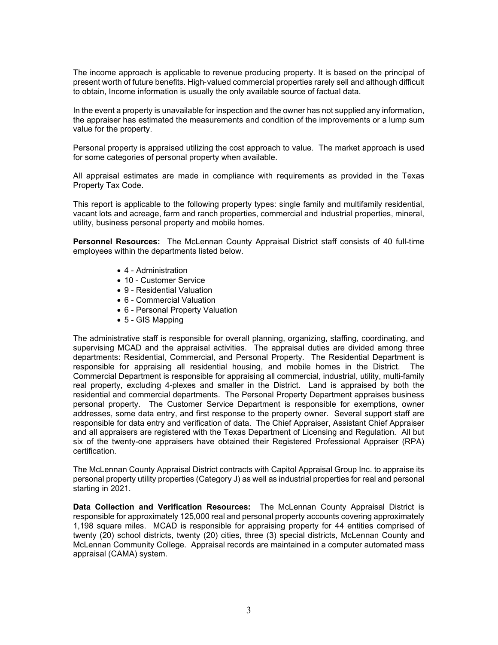The income approach is applicable to revenue producing property. It is based on the principal of present worth of future benefits. High‐valued commercial properties rarely sell and although difficult to obtain, Income information is usually the only available source of factual data.

In the event a property is unavailable for inspection and the owner has not supplied any information, the appraiser has estimated the measurements and condition of the improvements or a lump sum value for the property.

Personal property is appraised utilizing the cost approach to value. The market approach is used for some categories of personal property when available.

All appraisal estimates are made in compliance with requirements as provided in the Texas Property Tax Code.

This report is applicable to the following property types: single family and multifamily residential, vacant lots and acreage, farm and ranch properties, commercial and industrial properties, mineral, utility, business personal property and mobile homes.

**Personnel Resources:** The McLennan County Appraisal District staff consists of 40 full-time employees within the departments listed below.

- 4 Administration
- 10 Customer Service
- 9 Residential Valuation
- 6 Commercial Valuation
- 6 Personal Property Valuation
- 5 GIS Mapping

The administrative staff is responsible for overall planning, organizing, staffing, coordinating, and supervising MCAD and the appraisal activities. The appraisal duties are divided among three departments: Residential, Commercial, and Personal Property. The Residential Department is responsible for appraising all residential housing, and mobile homes in the District. The Commercial Department is responsible for appraising all commercial, industrial, utility, multi-family real property, excluding 4-plexes and smaller in the District. Land is appraised by both the residential and commercial departments. The Personal Property Department appraises business personal property. The Customer Service Department is responsible for exemptions, owner addresses, some data entry, and first response to the property owner. Several support staff are responsible for data entry and verification of data. The Chief Appraiser, Assistant Chief Appraiser and all appraisers are registered with the Texas Department of Licensing and Regulation. All but six of the twenty-one appraisers have obtained their Registered Professional Appraiser (RPA) certification.

The McLennan County Appraisal District contracts with Capitol Appraisal Group Inc. to appraise its personal property utility properties (Category J) as well as industrial properties for real and personal starting in 2021.

**Data Collection and Verification Resources:** The McLennan County Appraisal District is responsible for approximately 125,000 real and personal property accounts covering approximately 1,198 square miles. MCAD is responsible for appraising property for 44 entities comprised of twenty (20) school districts, twenty (20) cities, three (3) special districts, McLennan County and McLennan Community College. Appraisal records are maintained in a computer automated mass appraisal (CAMA) system.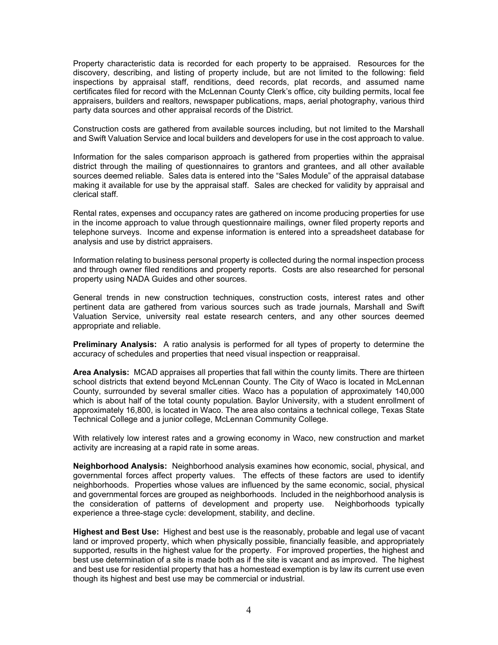Property characteristic data is recorded for each property to be appraised. Resources for the discovery, describing, and listing of property include, but are not limited to the following: field inspections by appraisal staff, renditions, deed records, plat records, and assumed name certificates filed for record with the McLennan County Clerk's office, city building permits, local fee appraisers, builders and realtors, newspaper publications, maps, aerial photography, various third party data sources and other appraisal records of the District.

Construction costs are gathered from available sources including, but not limited to the Marshall and Swift Valuation Service and local builders and developers for use in the cost approach to value.

Information for the sales comparison approach is gathered from properties within the appraisal district through the mailing of questionnaires to grantors and grantees, and all other available sources deemed reliable. Sales data is entered into the "Sales Module" of the appraisal database making it available for use by the appraisal staff. Sales are checked for validity by appraisal and clerical staff.

Rental rates, expenses and occupancy rates are gathered on income producing properties for use in the income approach to value through questionnaire mailings, owner filed property reports and telephone surveys. Income and expense information is entered into a spreadsheet database for analysis and use by district appraisers.

Information relating to business personal property is collected during the normal inspection process and through owner filed renditions and property reports. Costs are also researched for personal property using NADA Guides and other sources.

General trends in new construction techniques, construction costs, interest rates and other pertinent data are gathered from various sources such as trade journals, Marshall and Swift Valuation Service, university real estate research centers, and any other sources deemed appropriate and reliable.

**Preliminary Analysis:** A ratio analysis is performed for all types of property to determine the accuracy of schedules and properties that need visual inspection or reappraisal.

**Area Analysis:** MCAD appraises all properties that fall within the county limits. There are thirteen school districts that extend beyond McLennan County. The City of Waco is located in McLennan County, surrounded by several smaller cities. Waco has a population of approximately 140,000 which is about half of the total county population. Baylor University, with a student enrollment of approximately 16,800, is located in Waco. The area also contains a technical college, Texas State Technical College and a junior college, McLennan Community College.

With relatively low interest rates and a growing economy in Waco, new construction and market activity are increasing at a rapid rate in some areas.

**Neighborhood Analysis:** Neighborhood analysis examines how economic, social, physical, and governmental forces affect property values. The effects of these factors are used to identify neighborhoods. Properties whose values are influenced by the same economic, social, physical and governmental forces are grouped as neighborhoods. Included in the neighborhood analysis is the consideration of patterns of development and property use. Neighborhoods typically experience a three-stage cycle: development, stability, and decline.

**Highest and Best Use:** Highest and best use is the reasonably, probable and legal use of vacant land or improved property, which when physically possible, financially feasible, and appropriately supported, results in the highest value for the property. For improved properties, the highest and best use determination of a site is made both as if the site is vacant and as improved. The highest and best use for residential property that has a homestead exemption is by law its current use even though its highest and best use may be commercial or industrial.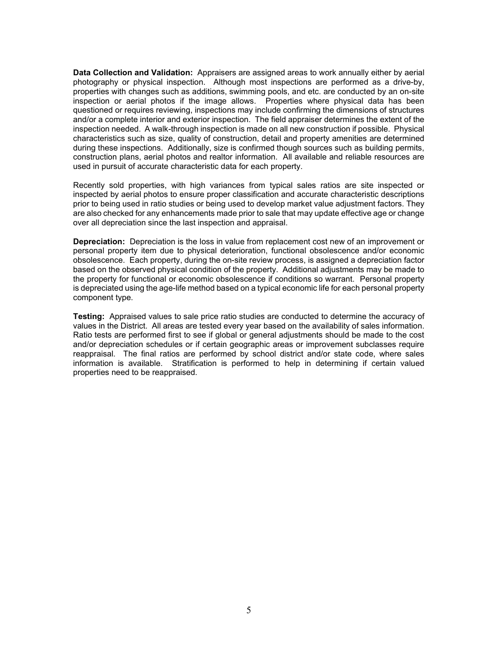**Data Collection and Validation:** Appraisers are assigned areas to work annually either by aerial photography or physical inspection. Although most inspections are performed as a drive-by, properties with changes such as additions, swimming pools, and etc. are conducted by an on-site inspection or aerial photos if the image allows. Properties where physical data has been questioned or requires reviewing, inspections may include confirming the dimensions of structures and/or a complete interior and exterior inspection. The field appraiser determines the extent of the inspection needed. A walk-through inspection is made on all new construction if possible. Physical characteristics such as size, quality of construction, detail and property amenities are determined during these inspections. Additionally, size is confirmed though sources such as building permits, construction plans, aerial photos and realtor information. All available and reliable resources are used in pursuit of accurate characteristic data for each property.

Recently sold properties, with high variances from typical sales ratios are site inspected or inspected by aerial photos to ensure proper classification and accurate characteristic descriptions prior to being used in ratio studies or being used to develop market value adjustment factors. They are also checked for any enhancements made prior to sale that may update effective age or change over all depreciation since the last inspection and appraisal.

**Depreciation:** Depreciation is the loss in value from replacement cost new of an improvement or personal property item due to physical deterioration, functional obsolescence and/or economic obsolescence. Each property, during the on-site review process, is assigned a depreciation factor based on the observed physical condition of the property. Additional adjustments may be made to the property for functional or economic obsolescence if conditions so warrant. Personal property is depreciated using the age-life method based on a typical economic life for each personal property component type.

**Testing:** Appraised values to sale price ratio studies are conducted to determine the accuracy of values in the District. All areas are tested every year based on the availability of sales information. Ratio tests are performed first to see if global or general adjustments should be made to the cost and/or depreciation schedules or if certain geographic areas or improvement subclasses require reappraisal. The final ratios are performed by school district and/or state code, where sales information is available. Stratification is performed to help in determining if certain valued properties need to be reappraised.